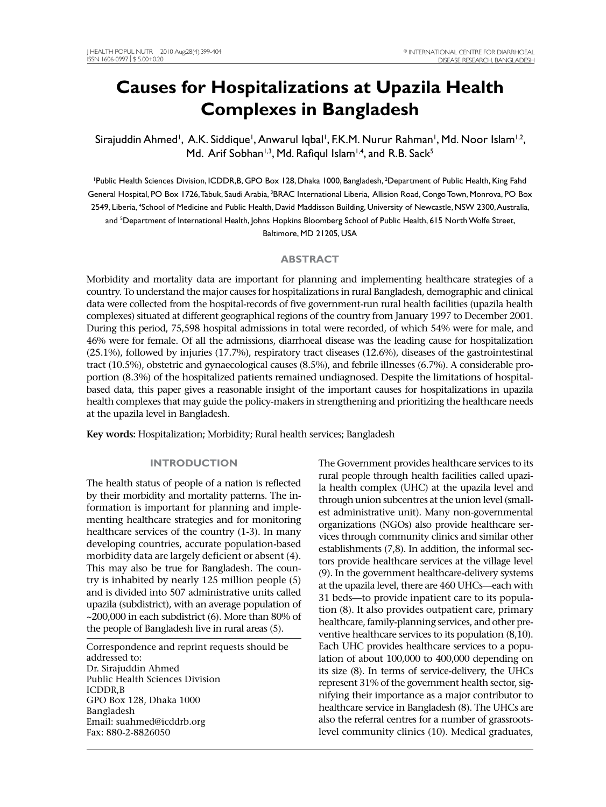# **Causes for Hospitalizations at Upazila Health Complexes in Bangladesh**

Sirajuddin Ahmed<sup>i</sup>, A.K. Siddique', Anwarul Iqbal', F.K.M. Nurur Rahman', Md. Noor Islam<sup>1,2</sup>, Md. Arif Sobhan<sup>1,3</sup>, Md. Rafiqul Islam<sup>1,4</sup>, and R.B. Sack<sup>5</sup>

'Public Health Sciences Division, ICDDR,B, GPO Box 128, Dhaka 1000, Bangladesh, <sup>2</sup>Department of Public Health, King Fahd General Hospital, PO Box 1726, Tabuk, Saudi Arabia, <sup>3</sup>BRAC International Liberia, Allision Road, Congo Town, Monrova, PO Box 2549, Liberia, 4 School of Medicine and Public Health, David Maddisson Building, University of Newcastle, NSW 2300, Australia, and <sup>s</sup>Department of International Health, Johns Hopkins Bloomberg School of Public Health, 615 North Wolfe Street, Baltimore, MD 21205, USA

### **ABSTRACT**

Morbidity and mortality data are important for planning and implementing healthcare strategies of a country. To understand the major causes for hospitalizations in rural Bangladesh, demographic and clinical data were collected from the hospital-records of five government-run rural health facilities (upazila health complexes) situated at different geographical regions of the country from January 1997 to December 2001. During this period, 75,598 hospital admissions in total were recorded, of which 54% were for male, and 46% were for female. Of all the admissions, diarrhoeal disease was the leading cause for hospitalization (25.1%), followed by injuries (17.7%), respiratory tract diseases (12.6%), diseases of the gastrointestinal tract (10.5%), obstetric and gynaecological causes (8.5%), and febrile illnesses (6.7%). A considerable proportion (8.3%) of the hospitalized patients remained undiagnosed. Despite the limitations of hospitalbased data, this paper gives a reasonable insight of the important causes for hospitalizations in upazila health complexes that may guide the policy-makers in strengthening and prioritizing the healthcare needs at the upazila level in Bangladesh.

**Key words:** Hospitalization; Morbidity; Rural health services; Bangladesh

## **INTRODUCTION**

The health status of people of a nation is reflected by their morbidity and mortality patterns. The information is important for planning and implementing healthcare strategies and for monitoring healthcare services of the country (1-3). In many developing countries, accurate population-based morbidity data are largely deficient or absent (4). This may also be true for Bangladesh. The country is inhabited by nearly 125 million people (5) and is divided into 507 administrative units called upazila (subdistrict), with an average population of ~200,000 in each subdistrict (6). More than 80% of the people of Bangladesh live in rural areas (5).

Correspondence and reprint requests should be addressed to: Dr. Sirajuddin Ahmed Public Health Sciences Division ICDDR,B GPO Box 128, Dhaka 1000 Bangladesh Email: suahmed@icddrb.org Fax: 880-2-8826050

The Government provides healthcare services to its rural people through health facilities called upazila health complex (UHC) at the upazila level and through union subcentres at the union level (smallest administrative unit). Many non-governmental organizations (NGOs) also provide healthcare services through community clinics and similar other establishments (7,8). In addition, the informal sectors provide healthcare services at the village level (9). In the government healthcare-delivery systems at the upazila level, there are 460 UHCs—each with 31 beds—to provide inpatient care to its population (8). It also provides outpatient care, primary healthcare, family-planning services, and other preventive healthcare services to its population (8,10). Each UHC provides healthcare services to a population of about 100,000 to 400,000 depending on its size (8). In terms of service-delivery, the UHCs represent 31% of the government health sector, signifying their importance as a major contributor to healthcare service in Bangladesh (8). The UHCs are also the referral centres for a number of grassrootslevel community clinics (10). Medical graduates,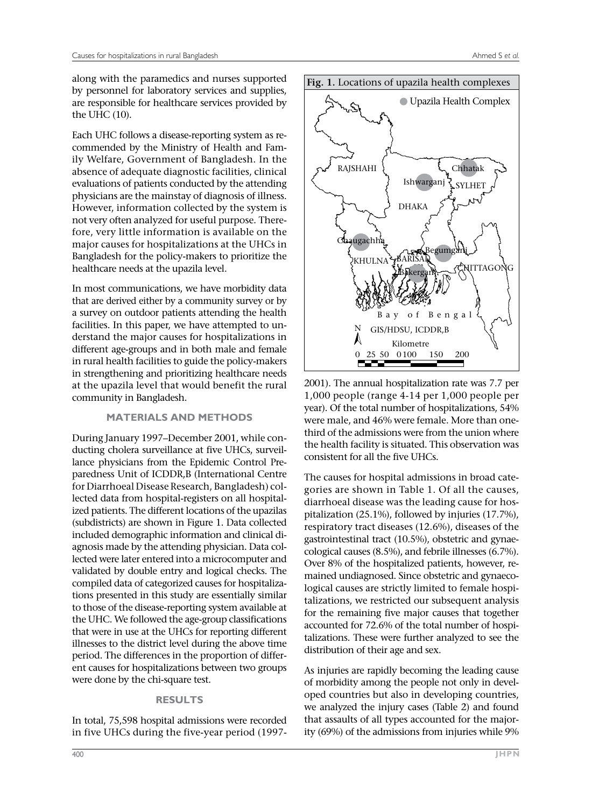along with the paramedics and nurses supported by personnel for laboratory services and supplies, are responsible for healthcare services provided by the UHC (10).

Each UHC follows a disease-reporting system as recommended by the Ministry of Health and Family Welfare, Government of Bangladesh. In the absence of adequate diagnostic facilities, clinical evaluations of patients conducted by the attending physicians are the mainstay of diagnosis of illness. However, information collected by the system is not very often analyzed for useful purpose. Therefore, very little information is available on the major causes for hospitalizations at the UHCs in Bangladesh for the policy-makers to prioritize the healthcare needs at the upazila level.

In most communications, we have morbidity data that are derived either by a community survey or by a survey on outdoor patients attending the health facilities. In this paper, we have attempted to understand the major causes for hospitalizations in different age-groups and in both male and female in rural health facilities to guide the policy-makers in strengthening and prioritizing healthcare needs at the upazila level that would benefit the rural community in Bangladesh.

## **MATERIALS AND METHODS**

During January 1997–December 2001, while conducting cholera surveillance at five UHCs, surveillance physicians from the Epidemic Control Preparedness Unit of ICDDR,B (International Centre for Diarrhoeal Disease Research, Bangladesh) collected data from hospital-registers on all hospitalized patients. The different locations of the upazilas (subdistricts) are shown in Figure 1. Data collected included demographic information and clinical diagnosis made by the attending physician. Data collected were later entered into a microcomputer and validated by double entry and logical checks. The compiled data of categorized causes for hospitalizations presented in this study are essentially similar to those of the disease-reporting system available at the UHC. We followed the age-group classifications that were in use at the UHCs for reporting different illnesses to the district level during the above time period. The differences in the proportion of different causes for hospitalizations between two groups were done by the chi-square test.

#### **RESULTS**

In total, 75,598 hospital admissions were recorded in five UHCs during the five-year period (1997-



As injuries are rapidly becoming the leading cause of morbidity among the people not only in developed countries but also in developing countries, we analyzed the injury cases (Table 2) and found that assaults of all types accounted for the majority (69%) of the admissions from injuries while 9%



2001). The annual hospitalization rate was 7.7 per 1,000 people (range 4-14 per 1,000 people per year). Of the total number of hospitalizations, 54% were male, and 46% were female. More than onethird of the admissions were from the union where the health facility is situated. This observation was consistent for all the five UHCs.

The causes for hospital admissions in broad categories are shown in Table 1. Of all the causes, diarrhoeal disease was the leading cause for hospitalization (25.1%), followed by injuries (17.7%), respiratory tract diseases (12.6%), diseases of the gastrointestinal tract (10.5%), obstetric and gynaecological causes (8.5%), and febrile illnesses (6.7%). Over 8% of the hospitalized patients, however, remained undiagnosed. Since obstetric and gynaecological causes are strictly limited to female hospitalizations, we restricted our subsequent analysis for the remaining five major causes that together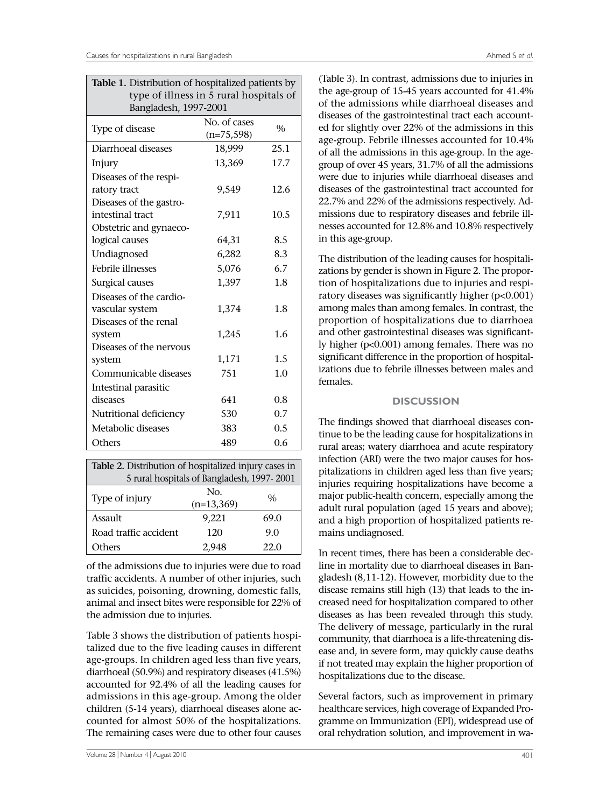| Table 1. Distribution of hospitalized patients by                |                              |      |  |  |  |
|------------------------------------------------------------------|------------------------------|------|--|--|--|
| type of illness in 5 rural hospitals of<br>Bangladesh, 1997-2001 |                              |      |  |  |  |
|                                                                  |                              |      |  |  |  |
| Type of disease                                                  | No. of cases<br>$(n=75,598)$ | $\%$ |  |  |  |
| Diarrhoeal diseases                                              | 18,999                       | 25.1 |  |  |  |
| Injury                                                           | 13,369                       | 17.7 |  |  |  |
| Diseases of the respi-                                           |                              |      |  |  |  |
| ratory tract                                                     | 9,549                        | 12.6 |  |  |  |
| Diseases of the gastro-                                          |                              |      |  |  |  |
| intestinal tract                                                 | 7,911                        | 10.5 |  |  |  |
| Obstetric and gynaeco-                                           |                              |      |  |  |  |
| logical causes                                                   | 64,31                        | 8.5  |  |  |  |
| Undiagnosed                                                      | 6,282                        | 8.3  |  |  |  |
| <b>Febrile illnesses</b>                                         | 5,076                        | 6.7  |  |  |  |
| Surgical causes                                                  | 1,397                        | 1.8  |  |  |  |
| Diseases of the cardio-                                          |                              |      |  |  |  |
| vascular system                                                  | 1,374                        | 1.8  |  |  |  |
| Diseases of the renal                                            |                              |      |  |  |  |
| system                                                           | 1,245                        | 1.6  |  |  |  |
| Diseases of the nervous                                          |                              |      |  |  |  |
| system                                                           | 1,171                        | 1.5  |  |  |  |
| Communicable diseases                                            | 751                          | 1.0  |  |  |  |
| Intestinal parasitic                                             |                              |      |  |  |  |
| diseases                                                         | 641                          | 0.8  |  |  |  |
| Nutritional deficiency                                           | 530                          | 0.7  |  |  |  |
| Metabolic diseases                                               | 383                          | 0.5  |  |  |  |
| Others                                                           | 489                          | 0.6  |  |  |  |

| Table 2. Distribution of hospitalized injury cases in |              |      |  |  |
|-------------------------------------------------------|--------------|------|--|--|
| 5 rural hospitals of Bangladesh, 1997-2001            |              |      |  |  |
| Type of injury                                        | No.          | $\%$ |  |  |
|                                                       | $(n=13,369)$ |      |  |  |
| Assault                                               | 9,221        | 69.0 |  |  |
| Road traffic accident                                 | 120          | 9.0  |  |  |
| Others                                                | 2.948        | 22.0 |  |  |

of the admissions due to injuries were due to road traffic accidents. A number of other injuries, such as suicides, poisoning, drowning, domestic falls, animal and insect bites were responsible for 22% of the admission due to injuries.

Table 3 shows the distribution of patients hospitalized due to the five leading causes in different age-groups. In children aged less than five years, diarrhoeal (50.9%) and respiratory diseases (41.5%) accounted for 92.4% of all the leading causes for admissions in this age-group. Among the older children (5-14 years), diarrhoeal diseases alone accounted for almost 50% of the hospitalizations. The remaining cases were due to other four causes

(Table 3). In contrast, admissions due to injuries in the age-group of 15-45 years accounted for 41.4% of the admissions while diarrhoeal diseases and diseases of the gastrointestinal tract each accounted for slightly over 22% of the admissions in this age-group. Febrile illnesses accounted for 10.4% of all the admissions in this age-group. In the agegroup of over 45 years, 31.7% of all the admissions were due to injuries while diarrhoeal diseases and diseases of the gastrointestinal tract accounted for 22.7% and 22% of the admissions respectively. Admissions due to respiratory diseases and febrile illnesses accounted for 12.8% and 10.8% respectively in this age-group.

The distribution of the leading causes for hospitalizations by gender is shown in Figure 2. The proportion of hospitalizations due to injuries and respiratory diseases was significantly higher  $(p<0.001)$ among males than among females. In contrast, the proportion of hospitalizations due to diarrhoea and other gastrointestinal diseases was significantly higher (p<0.001) among females. There was no significant difference in the proportion of hospitalizations due to febrile illnesses between males and females.

## **DISCUSSION**

The findings showed that diarrhoeal diseases continue to be the leading cause for hospitalizations in rural areas; watery diarrhoea and acute respiratory infection (ARI) were the two major causes for hospitalizations in children aged less than five years; injuries requiring hospitalizations have become a major public-health concern, especially among the adult rural population (aged 15 years and above); and a high proportion of hospitalized patients remains undiagnosed.

In recent times, there has been a considerable decline in mortality due to diarrhoeal diseases in Bangladesh (8,11-12). However, morbidity due to the disease remains still high (13) that leads to the increased need for hospitalization compared to other diseases as has been revealed through this study. The delivery of message, particularly in the rural community, that diarrhoea is a life-threatening disease and, in severe form, may quickly cause deaths if not treated may explain the higher proportion of hospitalizations due to the disease.

Several factors, such as improvement in primary healthcare services, high coverage of Expanded Programme on Immunization (EPI), widespread use of oral rehydration solution, and improvement in wa-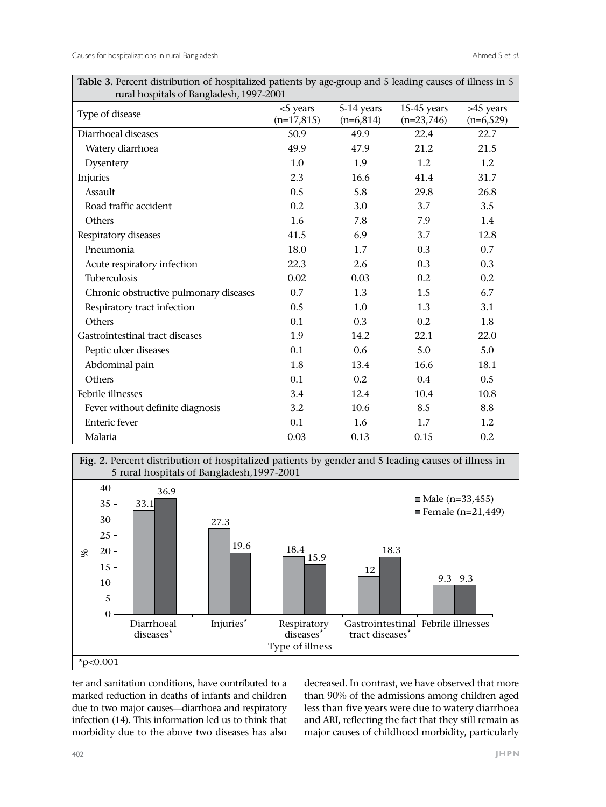| Table 3. Percent distribution of hospitalized patients by age-group and 5 leading causes of illness in 5<br>rural hospitals of Bangladesh, 1997-2001 |              |             |              |             |  |  |
|------------------------------------------------------------------------------------------------------------------------------------------------------|--------------|-------------|--------------|-------------|--|--|
|                                                                                                                                                      | <5 years     | 5-14 years  | 15-45 years  | >45 years   |  |  |
| Type of disease                                                                                                                                      | $(n=17,815)$ | $(n=6,814)$ | $(n=23,746)$ | $(n=6,529)$ |  |  |
| Diarrhoeal diseases                                                                                                                                  | 50.9         | 49.9        | 22.4         | 22.7        |  |  |
| Watery diarrhoea                                                                                                                                     | 49.9         | 47.9        | 21.2         | 21.5        |  |  |
| Dysentery                                                                                                                                            | 1.0          | 1.9         | 1.2          | 1.2         |  |  |
| <b>Injuries</b>                                                                                                                                      | 2.3          | 16.6        | 41.4         | 31.7        |  |  |
| Assault                                                                                                                                              | 0.5          | 5.8         | 29.8         | 26.8        |  |  |
| Road traffic accident                                                                                                                                | 0.2          | 3.0         | 3.7          | 3.5         |  |  |
| Others                                                                                                                                               | 1.6          | 7.8         | 7.9          | 1.4         |  |  |
| Respiratory diseases                                                                                                                                 | 41.5         | 6.9         | 3.7          | 12.8        |  |  |
| Pneumonia                                                                                                                                            | 18.0         | 1.7         | 0.3          | 0.7         |  |  |
| Acute respiratory infection                                                                                                                          | 22.3         | 2.6         | 0.3          | 0.3         |  |  |
| Tuberculosis                                                                                                                                         | 0.02         | 0.03        | 0.2          | 0.2         |  |  |
| Chronic obstructive pulmonary diseases                                                                                                               | 0.7          | 1.3         | 1.5          | 6.7         |  |  |
| Respiratory tract infection                                                                                                                          | 0.5          | 1.0         | 1.3          | 3.1         |  |  |
| Others                                                                                                                                               | 0.1          | 0.3         | 0.2          | 1.8         |  |  |
| Gastrointestinal tract diseases                                                                                                                      | 1.9          | 14.2        | 22.1         | 22.0        |  |  |
| Peptic ulcer diseases                                                                                                                                | 0.1          | 0.6         | 5.0          | 5.0         |  |  |
| Abdominal pain                                                                                                                                       | 1.8          | 13.4        | 16.6         | 18.1        |  |  |
| Others                                                                                                                                               | 0.1          | 0.2         | 0.4          | 0.5         |  |  |
| Febrile illnesses                                                                                                                                    | 3.4          | 12.4        | 10.4         | 10.8        |  |  |
| Fever without definite diagnosis                                                                                                                     | 3.2          | 10.6        | 8.5          | 8.8         |  |  |
| <b>Enteric fever</b>                                                                                                                                 | 0.1          | 1.6         | 1.7          | 1.2         |  |  |
| Malaria                                                                                                                                              | 0.03         | 0.13        | 0.15         | 0.2         |  |  |



ter and sanitation conditions, have contributed to a marked reduction in deaths of infants and children due to two major causes—diarrhoea and respiratory infection (14). This information led us to think that morbidity due to the above two diseases has also

decreased. In contrast, we have observed that more than 90% of the admissions among children aged less than five years were due to watery diarrhoea and ARI, reflecting the fact that they still remain as major causes of childhood morbidity, particularly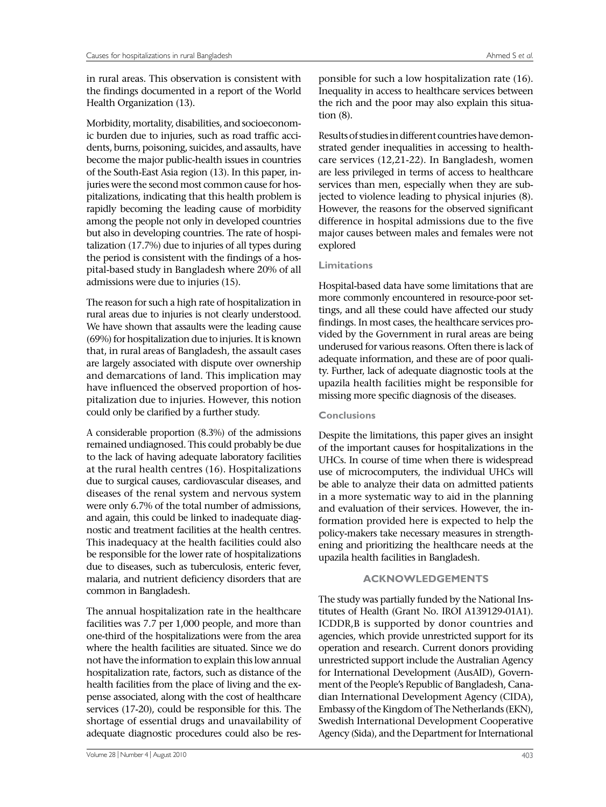in rural areas. This observation is consistent with the findings documented in a report of the World Health Organization (13).

Morbidity, mortality, disabilities, and socioeconomic burden due to injuries, such as road traffic accidents, burns, poisoning, suicides, and assaults, have become the major public-health issues in countries of the South-East Asia region (13). In this paper, injuries were the second most common cause for hospitalizations, indicating that this health problem is rapidly becoming the leading cause of morbidity among the people not only in developed countries but also in developing countries. The rate of hospitalization (17.7%) due to injuries of all types during the period is consistent with the findings of a hospital-based study in Bangladesh where 20% of all admissions were due to injuries (15).

The reason for such a high rate of hospitalization in rural areas due to injuries is not clearly understood. We have shown that assaults were the leading cause (69%) for hospitalization due to injuries. It is known that, in rural areas of Bangladesh, the assault cases are largely associated with dispute over ownership and demarcations of land. This implication may have influenced the observed proportion of hospitalization due to injuries. However, this notion could only be clarified by a further study.

A considerable proportion (8.3%) of the admissions remained undiagnosed. This could probably be due to the lack of having adequate laboratory facilities at the rural health centres (16). Hospitalizations due to surgical causes, cardiovascular diseases, and diseases of the renal system and nervous system were only 6.7% of the total number of admissions, and again, this could be linked to inadequate diagnostic and treatment facilities at the health centres. This inadequacy at the health facilities could also be responsible for the lower rate of hospitalizations due to diseases, such as tuberculosis, enteric fever, malaria, and nutrient deficiency disorders that are common in Bangladesh.

The annual hospitalization rate in the healthcare facilities was 7.7 per 1,000 people, and more than one-third of the hospitalizations were from the area where the health facilities are situated. Since we do not have the information to explain this low annual hospitalization rate, factors, such as distance of the health facilities from the place of living and the expense associated, along with the cost of healthcare services (17-20), could be responsible for this. The shortage of essential drugs and unavailability of adequate diagnostic procedures could also be responsible for such a low hospitalization rate (16). Inequality in access to healthcare services between the rich and the poor may also explain this situation (8).

Results of studies in different countries have demonstrated gender inequalities in accessing to healthcare services (12,21-22). In Bangladesh, women are less privileged in terms of access to healthcare services than men, especially when they are subjected to violence leading to physical injuries (8). However, the reasons for the observed significant difference in hospital admissions due to the five major causes between males and females were not explored

#### **Limitations**

Hospital-based data have some limitations that are more commonly encountered in resource-poor settings, and all these could have affected our study findings. In most cases, the healthcare services provided by the Government in rural areas are being underused for various reasons. Often there is lack of adequate information, and these are of poor quality. Further, lack of adequate diagnostic tools at the upazila health facilities might be responsible for missing more specific diagnosis of the diseases.

#### **Conclusions**

Despite the limitations, this paper gives an insight of the important causes for hospitalizations in the UHCs. In course of time when there is widespread use of microcomputers, the individual UHCs will be able to analyze their data on admitted patients in a more systematic way to aid in the planning and evaluation of their services. However, the information provided here is expected to help the policy-makers take necessary measures in strengthening and prioritizing the healthcare needs at the upazila health facilities in Bangladesh.

## **ACKNOWLEDGEMENTS**

The study was partially funded by the National Institutes of Health (Grant No. IROI A139129-01A1). ICDDR,B is supported by donor countries and agencies, which provide unrestricted support for its operation and research. Current donors providing unrestricted support include the Australian Agency for International Development (AusAID), Government of the People's Republic of Bangladesh, Canadian International Development Agency (CIDA), Embassy of the Kingdom of The Netherlands (EKN), Swedish International Development Cooperative Agency (Sida), and the Department for International